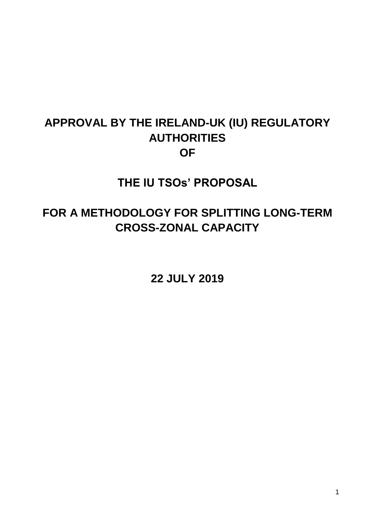# **APPROVAL BY THE IRELAND-UK (IU) REGULATORY AUTHORITIES OF**

**THE IU TSOs' PROPOSAL** 

# **FOR A METHODOLOGY FOR SPLITTING LONG-TERM CROSS-ZONAL CAPACITY**

**22 JULY 2019**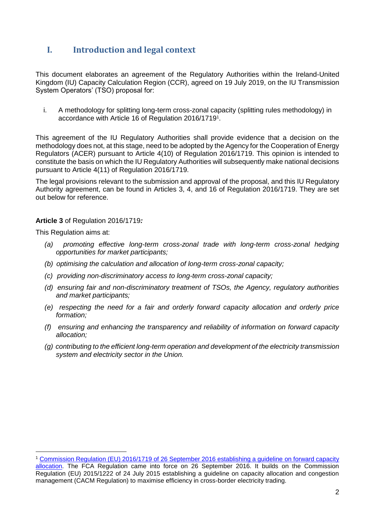## **I. Introduction and legal context**

This document elaborates an agreement of the Regulatory Authorities within the Ireland-United Kingdom (IU) Capacity Calculation Region (CCR), agreed on 19 July 2019, on the IU Transmission System Operators' (TSO) proposal for:

i. A methodology for splitting long-term cross-zonal capacity (splitting rules methodology) in accordance with Article 16 of Regulation 2016/1719<sup>1</sup> .

This agreement of the IU Regulatory Authorities shall provide evidence that a decision on the methodology does not, at this stage, need to be adopted by the Agency for the Cooperation of Energy Regulators (ACER) pursuant to Article 4(10) of Regulation 2016/1719. This opinion is intended to constitute the basis on which the IU Regulatory Authorities will subsequently make national decisions pursuant to Article 4(11) of Regulation 2016/1719.

The legal provisions relevant to the submission and approval of the proposal, and this IU Regulatory Authority agreement, can be found in Articles 3, 4, and 16 of Regulation 2016/1719. They are set out below for reference.

#### **Article 3** of Regulation 2016/1719*:*

This Regulation aims at:

1

- *(a) promoting effective long-term cross-zonal trade with long-term cross-zonal hedging opportunities for market participants;*
- *(b) optimising the calculation and allocation of long-term cross-zonal capacity;*
- *(c) providing non-discriminatory access to long-term cross-zonal capacity;*
- *(d) ensuring fair and non-discriminatory treatment of TSOs, the Agency, regulatory authorities and market participants;*
- *(e) respecting the need for a fair and orderly forward capacity allocation and orderly price formation;*
- *(f) ensuring and enhancing the transparency and reliability of information on forward capacity allocation;*
- *(g) contributing to the efficient long-term operation and development of the electricity transmission system and electricity sector in the Union.*

<sup>1</sup> [Commission Regulation \(EU\) 2016/1719 of 26 September 2016 establishing a guideline on forward capacity](https://eur-lex.europa.eu/legal-content/EN/TXT/HTML/?uri=CELEX:32016R1719&from=EN)  [allocation.](https://eur-lex.europa.eu/legal-content/EN/TXT/HTML/?uri=CELEX:32016R1719&from=EN) The FCA Regulation came into force on 26 September 2016. It builds on the Commission Regulation (EU) 2015/1222 of 24 July 2015 establishing a guideline on capacity allocation and congestion management (CACM Regulation) to maximise efficiency in cross-border electricity trading.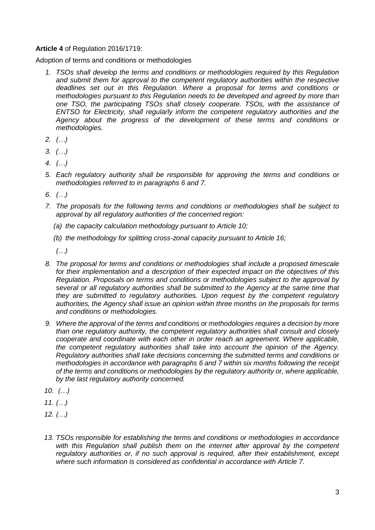#### **Article 4** of Regulation 2016/1719:

Adoption of terms and conditions or methodologies

- *1. TSOs shall develop the terms and conditions or methodologies required by this Regulation and submit them for approval to the competent regulatory authorities within the respective deadlines set out in this Regulation. Where a proposal for terms and conditions or methodologies pursuant to this Regulation needs to be developed and agreed by more than one TSO, the participating TSOs shall closely cooperate. TSOs, with the assistance of ENTSO for Electricity, shall regularly inform the competent regulatory authorities and the Agency about the progress of the development of these terms and conditions or methodologies.*
- *2. (…)*
- *3. (…)*
- *4. (…)*
- *5. Each regulatory authority shall be responsible for approving the terms and conditions or methodologies referred to in paragraphs 6 and 7.*
- *6. (…)*
- *7. The proposals for the following terms and conditions or methodologies shall be subject to approval by all regulatory authorities of the concerned region:*
	- *(a) the capacity calculation methodology pursuant to Article 10;*
	- *(b) the methodology for splitting cross-zonal capacity pursuant to Article 16;*

*(…)*

- *8. The proposal for terms and conditions or methodologies shall include a proposed timescale for their implementation and a description of their expected impact on the objectives of this Regulation. Proposals on terms and conditions or methodologies subject to the approval by several or all regulatory authorities shall be submitted to the Agency at the same time that they are submitted to regulatory authorities. Upon request by the competent regulatory authorities, the Agency shall issue an opinion within three months on the proposals for terms and conditions or methodologies.*
- *9. Where the approval of the terms and conditions or methodologies requires a decision by more than one regulatory authority, the competent regulatory authorities shall consult and closely cooperate and coordinate with each other in order reach an agreement. Where applicable, the competent regulatory authorities shall take into account the opinion of the Agency. Regulatory authorities shall take decisions concerning the submitted terms and conditions or methodologies in accordance with paragraphs 6 and 7 within six months following the receipt of the terms and conditions or methodologies by the regulatory authority or, where applicable, by the last regulatory authority concerned.*
- *10. (…)*
- *11. (…)*
- *12. (…)*
- *13. TSOs responsible for establishing the terms and conditions or methodologies in accordance*  with this Regulation shall publish them on the internet after approval by the competent *regulatory authorities or, if no such approval is required, after their establishment, except where such information is considered as confidential in accordance with Article 7.*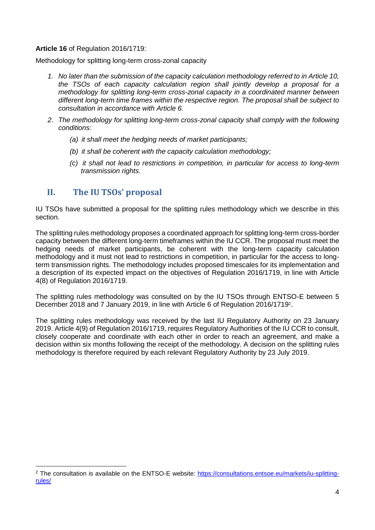#### **Article 16** of Regulation 2016/1719:

Methodology for splitting long-term cross-zonal capacity

- *1. No later than the submission of the capacity calculation methodology referred to in Article 10, the TSOs of each capacity calculation region shall jointly develop a proposal for a methodology for splitting long-term cross-zonal capacity in a coordinated manner between different long-term time frames within the respective region. The proposal shall be subject to consultation in accordance with Article 6.*
- *2. The methodology for splitting long-term cross-zonal capacity shall comply with the following conditions:*
	- *(a) it shall meet the hedging needs of market participants;*
	- *(b) it shall be coherent with the capacity calculation methodology;*
	- *(c) it shall not lead to restrictions in competition, in particular for access to long-term transmission rights.*

### **II. The IU TSOs' proposal**

<u>.</u>

IU TSOs have submitted a proposal for the splitting rules methodology which we describe in this section.

The splitting rules methodology proposes a coordinated approach for splitting long-term cross-border capacity between the different long-term timeframes within the IU CCR. The proposal must meet the hedging needs of market participants, be coherent with the long-term capacity calculation methodology and it must not lead to restrictions in competition, in particular for the access to longterm transmission rights. The methodology includes proposed timescales for its implementation and a description of its expected impact on the objectives of Regulation 2016/1719, in line with Article 4(8) of Regulation 2016/1719.

The splitting rules methodology was consulted on by the IU TSOs through ENTSO-E between 5 December 2018 and 7 January 2019, in line with Article 6 of Regulation 2016/1719<sup>2</sup>.

The splitting rules methodology was received by the last IU Regulatory Authority on 23 January 2019. Article 4(9) of Regulation 2016/1719, requires Regulatory Authorities of the IU CCR to consult, closely cooperate and coordinate with each other in order to reach an agreement, and make a decision within six months following the receipt of the methodology. A decision on the splitting rules methodology is therefore required by each relevant Regulatory Authority by 23 July 2019.

<sup>2</sup> The consultation is available on the ENTSO-E website: [https://consultations.entsoe.eu/markets/iu-splitting](https://consultations.entsoe.eu/markets/iu-splitting-rules/)[rules/](https://consultations.entsoe.eu/markets/iu-splitting-rules/)